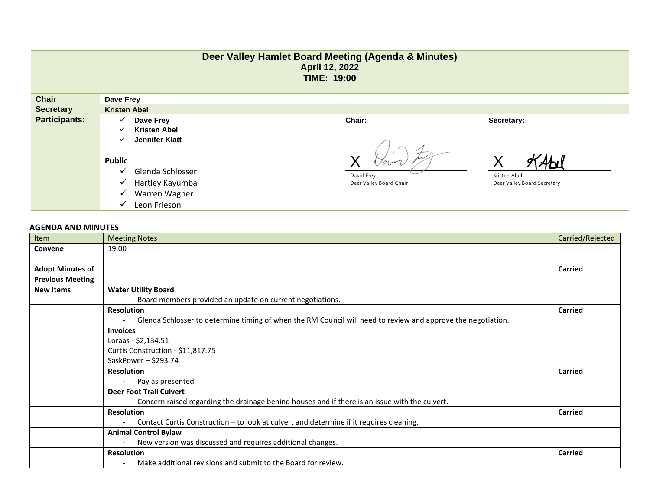| Deer Valley Hamlet Board Meeting (Agenda & Minutes)<br>April 12, 2022<br><b>TIME: 19:00</b> |                                                                                                                                                                                       |                                                 |                                                                |  |  |
|---------------------------------------------------------------------------------------------|---------------------------------------------------------------------------------------------------------------------------------------------------------------------------------------|-------------------------------------------------|----------------------------------------------------------------|--|--|
| <b>Chair</b>                                                                                | Dave Frey                                                                                                                                                                             |                                                 |                                                                |  |  |
| <b>Secretary</b>                                                                            | <b>Kristen Abel</b>                                                                                                                                                                   |                                                 |                                                                |  |  |
| <b>Participants:</b>                                                                        | Dave Frey<br>✓<br><b>Kristen Abel</b><br>✓<br><b>Jennifer Klatt</b><br>✓<br><b>Public</b><br>Glenda Schlosser<br>✓<br>Hartley Kayumba<br>✓<br>Warren Wagner<br>✓<br>Leon Frieson<br>✓ | Chair:<br>David Frey<br>Deer Valley Board Chair | Secretary:<br>Χ<br>Kristen Abel<br>Deer Valley Board Secretary |  |  |

## **AGENDA AND MINUTES**

| Item                    | <b>Meeting Notes</b>                                                                                         | Carried/Rejected |
|-------------------------|--------------------------------------------------------------------------------------------------------------|------------------|
| Convene                 | 19:00                                                                                                        |                  |
|                         |                                                                                                              |                  |
| <b>Adopt Minutes of</b> |                                                                                                              | <b>Carried</b>   |
| <b>Previous Meeting</b> |                                                                                                              |                  |
| <b>New Items</b>        | <b>Water Utility Board</b>                                                                                   |                  |
|                         | Board members provided an update on current negotiations.                                                    |                  |
|                         | <b>Resolution</b>                                                                                            | <b>Carried</b>   |
|                         | Glenda Schlosser to determine timing of when the RM Council will need to review and approve the negotiation. |                  |
|                         | <b>Invoices</b>                                                                                              |                  |
|                         | Loraas - \$2,134.51                                                                                          |                  |
|                         | Curtis Construction - \$11,817.75                                                                            |                  |
|                         | SaskPower-\$293.74                                                                                           |                  |
|                         | <b>Resolution</b>                                                                                            | Carried          |
|                         | Pay as presented                                                                                             |                  |
|                         | <b>Deer Foot Trail Culvert</b>                                                                               |                  |
|                         | Concern raised regarding the drainage behind houses and if there is an issue with the culvert.               |                  |
|                         | <b>Resolution</b>                                                                                            | <b>Carried</b>   |
|                         | Contact Curtis Construction - to look at culvert and determine if it requires cleaning.                      |                  |
|                         | <b>Animal Control Bylaw</b>                                                                                  |                  |
|                         | New version was discussed and requires additional changes.                                                   |                  |
|                         | <b>Resolution</b>                                                                                            | <b>Carried</b>   |
|                         | Make additional revisions and submit to the Board for review.                                                |                  |